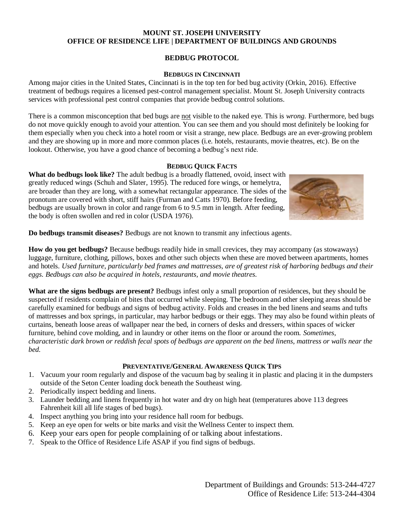#### **MOUNT ST. JOSEPH UNIVERSITY OFFICE OF RESIDENCE LIFE | DEPARTMENT OF BUILDINGS AND GROUNDS**

# **BEDBUG PROTOCOL**

### **BEDBUGS IN CINCINNATI**

Among major cities in the United States, Cincinnati is in the top ten for bed bug activity (Orkin, 2016). Effective treatment of bedbugs requires a licensed pest-control management specialist. Mount St. Joseph University contracts services with professional pest control companies that provide bedbug control solutions.

There is a common misconception that bed bugs are not visible to the naked eye. This is *wrong.* Furthermore, bed bugs do not move quickly enough to avoid your attention. You can see them and you should most definitely be looking for them especially when you check into a hotel room or visit a strange, new place. Bedbugs are an ever-growing problem and they are showing up in more and more common places (i.e. hotels, restaurants, movie theatres, etc). Be on the lookout. Otherwise, you have a good chance of becoming a bedbug's next ride.

### **BEDBUG QUICK FACTS**

**What do bedbugs look like?** The adult bedbug is a broadly flattened, ovoid, insect with greatly reduced wings (Schuh and Slater, 1995). The reduced fore wings, or hemelytra, are broader than they are long, with a somewhat rectangular appearance. The sides of the pronotum are covered with short, stiff hairs (Furman and Catts 1970). Before feeding, bedbugs are usually brown in color and range from 6 to 9.5 mm in length. After feeding, the body is often swollen and red in color (USDA 1976).



**Do bedbugs transmit diseases?** Bedbugs are not known to transmit any infectious agents.

**How do you get bedbugs?** Because bedbugs readily hide in small crevices, they may accompany (as stowaways) luggage, furniture, clothing, pillows, boxes and other such objects when these are moved between apartments, homes and hotels. *Used furniture, particularly bed frames and mattresses, are of greatest risk of harboring bedbugs and their eggs. Bedbugs can also be acquired in hotels, restaurants, and movie theatres.*

**What are the signs bedbugs are present?** Bedbugs infest only a small proportion of residences, but they should be suspected if residents complain of bites that occurred while sleeping. The bedroom and other sleeping areas should be carefully examined for bedbugs and signs of bedbug activity. Folds and creases in the bed linens and seams and tufts of mattresses and box springs, in particular, may harbor bedbugs or their eggs. They may also be found within pleats of curtains, beneath loose areas of wallpaper near the bed, in corners of desks and dressers, within spaces of wicker furniture, behind cove molding, and in laundry or other items on the floor or around the room. *Sometimes, characteristic dark brown or reddish fecal spots of bedbugs are apparent on the bed linens, mattress or walls near the bed.* 

## **PREVENTATIVE/GENERAL AWARENESS QUICK TIPS**

- 1. Vacuum your room regularly and dispose of the vacuum bag by sealing it in plastic and placing it in the dumpsters outside of the Seton Center loading dock beneath the Southeast wing.
- 2. Periodically inspect bedding and linens.
- 3. Launder bedding and linens frequently in hot water and dry on high heat (temperatures above 113 degrees Fahrenheit kill all life stages of bed bugs).
- 4. Inspect anything you bring into your residence hall room for bedbugs.
- 5. Keep an eye open for welts or bite marks and visit the Wellness Center to inspect them.
- 6. Keep your ears open for people complaining of or talking about infestations.
- 7. Speak to the Office of Residence Life ASAP if you find signs of bedbugs.